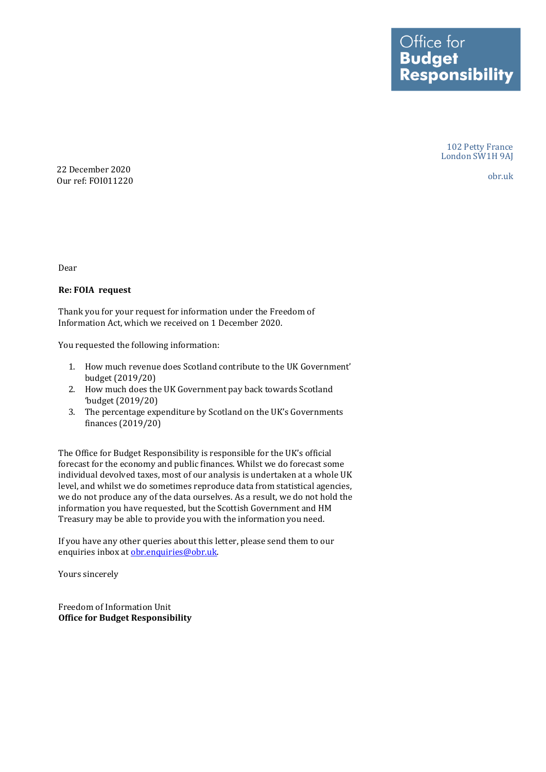Office for **Budget Responsibility** 

> 102 Petty France London SW1H 9AJ

> > obr.uk

22 December 2020 Our ref: FOI011220

Dear

## **Re: FOIA request**

Thank you for your request for information under the Freedom of Information Act, which we received on 1 December 2020.

You requested the following information:

- 1. How much revenue does Scotland contribute to the UK Government' budget (2019/20)
- 2. How much does the UK Government pay back towards Scotland 'budget (2019/20)
- 3. The percentage expenditure by Scotland on the UK's Governments finances (2019/20)

 The Office for Budget Responsibility is responsible for the UK's official forecast for the economy and public finances. Whilst we do forecast some individual devolved taxes, most of our analysis is undertaken at a whole UK level, and whilst we do sometimes reproduce data from statistical agencies, we do not produce any of the data ourselves. As a result, we do not hold the information you have requested, but the Scottish Government and HM Treasury may be able to provide you with the information you need.

 If you have any other queries about this letter, please send them to our enquiries inbox at obr.enquiries@obr.uk.

Yours sincerely

 **Office for Budget Responsibility** Freedom of Information Unit